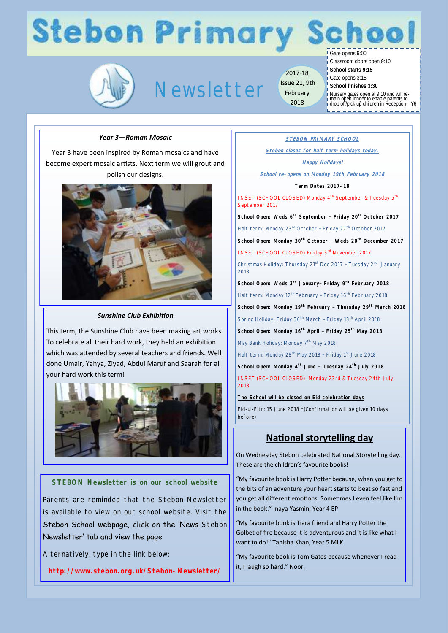# **Stebon Primary Scl**



# Newsletter

2017-18 Issue 21, 9th February 2018

Gate opens 9:00

Classroom doors open 9:10

- **School starts 9:15**
- Gate opens 3:15 **School finishes 3:30**
	-

Nursery gates open at 9:10 and will re-main open longer to enable parents to drop off/pick up children in Reception—Y6

hoo

### *Year 3—Roman Mosaic*

Year 3 have been inspired by Roman mosaics and have become expert mosaic artists. Next term we will grout and polish our designs.



#### *Sunshine Club Exhibition*

This term, the Sunshine Club have been making art works. To celebrate all their hard work, they held an exhibition which was attended by several teachers and friends. Well done Umair, Yahya, Ziyad, Abdul Maruf and Saarah for all your hard work this term!



#### **STEBON Newsletter is on our school website**

Parents are reminded that the Stebon Newsletter is available to view on our school website. Visit the Stebon School webpage, click on the 'News-Stebon Newsletter' tab and view the page

Alternatively, type in the link below;

**http://www.stebon.org.uk/Stebon-Newsletter/**

**STEBON PRIMARY SCHOOL**

**Stebon closes for half term holidays today.**

#### **Happy Holidays!**

**School re-opens on Monday 19th February 2018**

#### **Term Dates 2017-18**

INSET (SCHOOL CLOSED) Monday 4<sup>th</sup> September & Tuesday 5<sup>th</sup> September 2017

**School Open: Weds 6th September – Friday 20th October 2017**

Half term: Monday 23rd October - Friday 27<sup>th</sup> October 2017

**School Open: Monday 30th October – Weds 20th December 2017** 

INSET (SCHOOL CLOSED) Friday 3<sup>rd</sup> November 2017

Christmas Holiday: Thursday 21<sup>st</sup> Dec 2017 - Tuesday 2<sup>nd</sup> January 2018

**School Open: Weds 3rd January– Friday 9th February 2018**

Half term: Monday 12<sup>th</sup> February - Friday 16<sup>th</sup> February 2018

**School Open: Monday 19th February – Thursday 29th March 2018**

Spring Holiday: Friday 30<sup>th</sup> March - Friday 13<sup>th</sup> April 2018

**School Open: Monday 16th April – Friday 25th May 2018**

May Bank Holiday: Monday 7<sup>th</sup> May 2018

Half term: Monday 28<sup>th</sup> May 2018 - Friday 1<sup>st</sup> June 2018

**School Open: Monday 4th June – Tuesday 24th July 2018**

INSET (SCHOOL CLOSED) Monday 23rd & Tuesday 24th July 2018

**The School will be closed on Eid celebration days**

Eid-ul-Fitr: 15 June 2018 \*(Confirmation will be given 10 days before)

## **National storytelling day**

On Wednesday Stebon celebrated National Storytelling day. These are the children's favourite books!

"My favourite book is Harry Potter because, when you get to the bits of an adventure your heart starts to beat so fast and you get all different emotions. Sometimes I even feel like I'm in the book." Inaya Yasmin, Year 4 EP

"My favourite book is Tiara friend and Harry Potter the Golbet of fire because it is adventurous and it is like what I want to do!" Tanisha Khan, Year 5 MLK

"My favourite book is Tom Gates because whenever I read it, I laugh so hard." Noor.